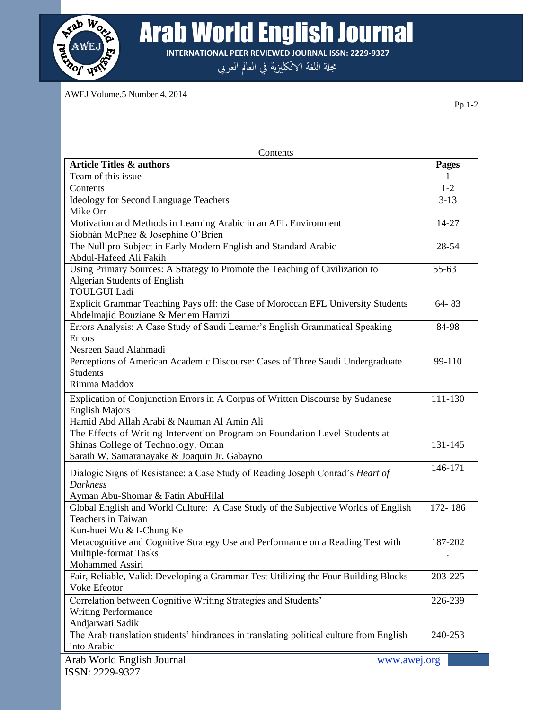

**Arab World English Journal** 

**INTERNATIONAL PEER REVIEWED JOURNAL ISSN: 2229-9327**

مجلة اللغة الانكلىزية في العالم العربي

AWEJ Volume.5 Number.4, 2014

Arab World English Journal www.awej.org Contents Article Titles & authors **Pages** Team of this issue 1 Contents 1-2 Ideology for Second Language Teachers Mike Orr 3-13 Motivation and Methods in Learning Arabic in an AFL Environment Siobhán McPhee & Josephine O'Brien 14-27 The Null pro Subject in Early Modern English and Standard Arabic Abdul-Hafeed Ali Fakih 28-54 Using Primary Sources: A Strategy to Promote the Teaching of Civilization to Algerian Students of English TOULGUI Ladi 55-63 Explicit Grammar Teaching Pays off: the Case of Moroccan EFL University Students Abdelmajid Bouziane & Meriem Harrizi 64- 83 Errors Analysis: A Case Study of Saudi Learner's English Grammatical Speaking Errors Nesreen Saud Alahmadi 84-98 Perceptions of American Academic Discourse: Cases of Three Saudi Undergraduate **Students** Rimma Maddox 99-110 Explication of Conjunction Errors in A Corpus of Written Discourse by Sudanese English Majors Hamid Abd Allah Arabi & Nauman Al Amin Ali 111-130 The Effects of Writing Intervention Program on Foundation Level Students at Shinas College of Technology, Oman Sarath W. Samaranayake & Joaquin Jr. Gabayno 131-145 Dialogic Signs of Resistance: a Case Study of Reading Joseph Conrad's *Heart of Darkness* Ayman Abu-Shomar & Fatin AbuHilal 146-171 Global English and World Culture: A Case Study of the Subjective Worlds of English Teachers in Taiwan Kun-huei Wu & I-Chung Ke 172- 186 Metacognitive and Cognitive Strategy Use and Performance on a Reading Test with Multiple-format Tasks Mohammed Assiri 187-202 . Fair, Reliable, Valid: Developing a Grammar Test Utilizing the Four Building Blocks Voke Efeotor 203-225 Correlation between Cognitive Writing Strategies and Students' Writing Performance Andjarwati Sadik 226-239 The Arab translation students' hindrances in translating political culture from English into Arabic 240-253

Pp.1-2